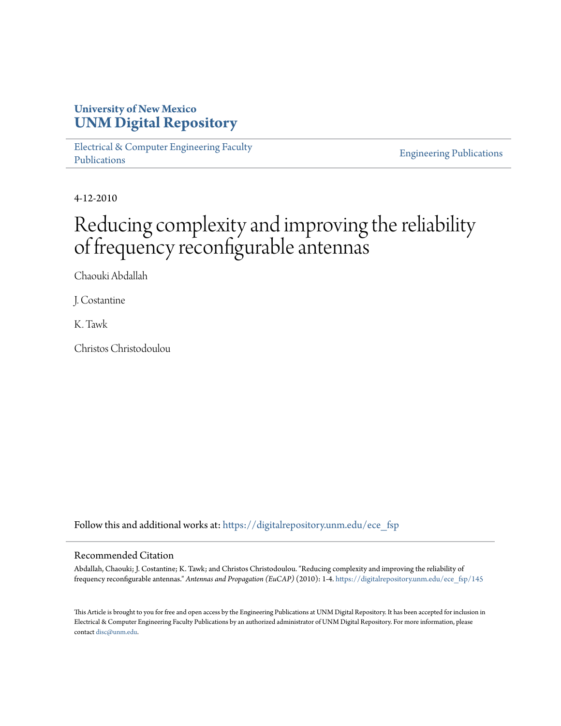### **University of New Mexico [UNM Digital Repository](https://digitalrepository.unm.edu?utm_source=digitalrepository.unm.edu%2Fece_fsp%2F145&utm_medium=PDF&utm_campaign=PDFCoverPages)**

[Electrical & Computer Engineering Faculty](https://digitalrepository.unm.edu/ece_fsp?utm_source=digitalrepository.unm.edu%2Fece_fsp%2F145&utm_medium=PDF&utm_campaign=PDFCoverPages) [Publications](https://digitalrepository.unm.edu/ece_fsp?utm_source=digitalrepository.unm.edu%2Fece_fsp%2F145&utm_medium=PDF&utm_campaign=PDFCoverPages)

[Engineering Publications](https://digitalrepository.unm.edu/eng_fsp?utm_source=digitalrepository.unm.edu%2Fece_fsp%2F145&utm_medium=PDF&utm_campaign=PDFCoverPages)

4-12-2010

# Reducing complexity and improving the reliability of frequency reconfigurable antennas

Chaouki Abdallah

J. Costantine

K. Tawk

Christos Christodoulou

Follow this and additional works at: [https://digitalrepository.unm.edu/ece\\_fsp](https://digitalrepository.unm.edu/ece_fsp?utm_source=digitalrepository.unm.edu%2Fece_fsp%2F145&utm_medium=PDF&utm_campaign=PDFCoverPages)

### Recommended Citation

Abdallah, Chaouki; J. Costantine; K. Tawk; and Christos Christodoulou. "Reducing complexity and improving the reliability of frequency reconfigurable antennas." *Antennas and Propagation (EuCAP)* (2010): 1-4. [https://digitalrepository.unm.edu/ece\\_fsp/145](https://digitalrepository.unm.edu/ece_fsp/145?utm_source=digitalrepository.unm.edu%2Fece_fsp%2F145&utm_medium=PDF&utm_campaign=PDFCoverPages)

This Article is brought to you for free and open access by the Engineering Publications at UNM Digital Repository. It has been accepted for inclusion in Electrical & Computer Engineering Faculty Publications by an authorized administrator of UNM Digital Repository. For more information, please contact [disc@unm.edu.](mailto:disc@unm.edu)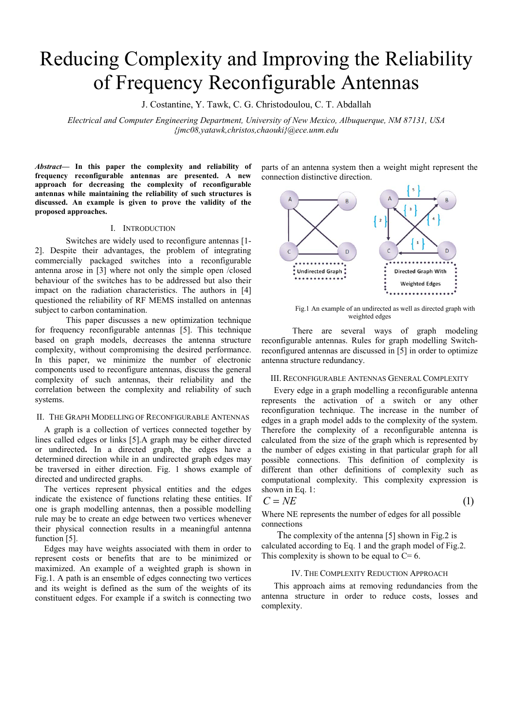## Reducing Complexity and Improving the Reliability of Frequency Reconfigurable Antennas

J. Costantine, Y. Tawk, C. G. Christodoulou, C. T. Abdallah

*Electrical and Computer Engineering Department, University of New Mexico, Albuquerque, NM 87131, USA {jmc08,yatawk,christos,chaouki}@ece.unm.edu* 

*Abstract***— In this paper the complexity and reliability of frequency reconfigurable antennas are presented. A new approach for decreasing the complexity of reconfigurable antennas while maintaining the reliability of such structures is discussed. An example is given to prove the validity of the proposed approaches.** 

#### I. INTRODUCTION

Switches are widely used to reconfigure antennas [1- 2]. Despite their advantages, the problem of integrating commercially packaged switches into a reconfigurable antenna arose in [3] where not only the simple open /closed behaviour of the switches has to be addressed but also their impact on the radiation characteristics. The authors in [4] questioned the reliability of RF MEMS installed on antennas subject to carbon contamination.

This paper discusses a new optimization technique for frequency reconfigurable antennas [5]. This technique based on graph models, decreases the antenna structure complexity, without compromising the desired performance. In this paper, we minimize the number of electronic components used to reconfigure antennas, discuss the general complexity of such antennas, their reliability and the correlation between the complexity and reliability of such systems.

#### II. THE GRAPH MODELLING OF RECONFIGURABLE ANTENNAS

A graph is a collection of vertices connected together by lines called edges or links [5].A graph may be either directed or undirected**.** In a directed graph, the edges have a determined direction while in an undirected graph edges may be traversed in either direction. Fig. 1 shows example of directed and undirected graphs.

The vertices represent physical entities and the edges indicate the existence of functions relating these entities. If one is graph modelling antennas, then a possible modelling rule may be to create an edge between two vertices whenever their physical connection results in a meaningful antenna function [5].

Edges may have weights associated with them in order to represent costs or benefits that are to be minimized or maximized. An example of a weighted graph is shown in Fig.1. A path is an ensemble of edges connecting two vertices and its weight is defined as the sum of the weights of its constituent edges. For example if a switch is connecting two parts of an antenna system then a weight might represent the connection distinctive direction.



Fig.1 An example of an undirected as well as directed graph with weighted edges

There are several ways of graph modeling reconfigurable antennas. Rules for graph modelling Switchreconfigured antennas are discussed in [5] in order to optimize antenna structure redundancy.

#### III. RECONFIGURABLE ANTENNAS GENERAL COMPLEXITY

Every edge in a graph modelling a reconfigurable antenna represents the activation of a switch or any other reconfiguration technique. The increase in the number of edges in a graph model adds to the complexity of the system. Therefore the complexity of a reconfigurable antenna is calculated from the size of the graph which is represented by the number of edges existing in that particular graph for all possible connections. This definition of complexity is different than other definitions of complexity such as computational complexity. This complexity expression is shown in Eq. 1:

$$
C = NE \tag{1}
$$

Where NE represents the number of edges for all possible connections

 The complexity of the antenna [5] shown in Fig.2 is calculated according to Eq. 1 and the graph model of Fig.2. This complexity is shown to be equal to  $C = 6$ .

#### IV.THE COMPLEXITY REDUCTION APPROACH

This approach aims at removing redundancies from the antenna structure in order to reduce costs, losses and complexity.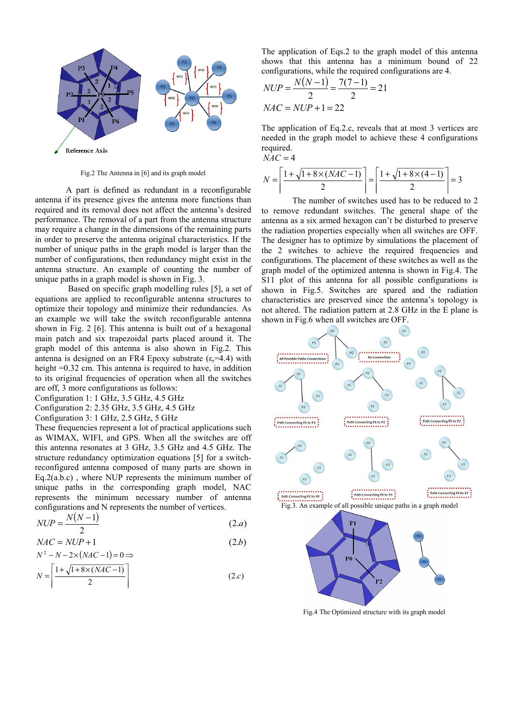

Fig.2 The Antenna in [6] and its graph model

A part is defined as redundant in a reconfigurable antenna if its presence gives the antenna more functions than required and its removal does not affect the antenna's desired performance. The removal of a part from the antenna structure may require a change in the dimensions of the remaining parts in order to preserve the antenna original characteristics. If the number of unique paths in the graph model is larger than the number of configurations, then redundancy might exist in the antenna structure. An example of counting the number of unique paths in a graph model is shown in Fig. 3.

 Based on specific graph modelling rules [5], a set of equations are applied to reconfigurable antenna structures to optimize their topology and minimize their redundancies. As an example we will take the switch reconfigurable antenna shown in Fig. 2 [6]. This antenna is built out of a hexagonal main patch and six trapezoidal parts placed around it. The graph model of this antenna is also shown in Fig.2. This antenna is designed on an FR4 Epoxy substrate ( $\varepsilon$ =4.4) with height =0.32 cm. This antenna is required to have, in addition to its original frequencies of operation when all the switches are off, 3 more configurations as follows:

Configuration 1: 1 GHz, 3.5 GHz, 4.5 GHz

Configuration 2: 2.35 GHz, 3.5 GHz, 4.5 GHz

Configuration 3: 1 GHz, 2.5 GHz, 5 GHz

These frequencies represent a lot of practical applications such as WIMAX, WIFI, and GPS. When all the switches are off this antenna resonates at 3 GHz, 3.5 GHz and 4.5 GHz. The structure redundancy optimization equations [5] for a switchreconfigured antenna composed of many parts are shown in Eq.2(a.b.c) , where NUP represents the minimum number of unique paths in the corresponding graph model, NAC represents the minimum necessary number of antenna configurations and N represents the number of vertices.

$$
NUP = \frac{N(N-1)}{2} \tag{2.a}
$$

$$
NAC = NUP + 1
$$
  
\n
$$
N^2 - N - 2 \times (NAC - 1) = 0 \Rightarrow
$$
\n(2.b)

$$
N = \left\lceil \frac{1 + \sqrt{1 + 8 \times (NAC - 1)}}{2} \right\rceil \tag{2.c}
$$

The application of Eqs.2 to the graph model of this antenna shows that this antenna has a minimum bound of 22 configurations, while the required configurations are 4.

$$
NUP = \frac{N(N-1)}{2} = \frac{7(7-1)}{2} = 21
$$
  
MAC = NUP + 1 = 22

The application of Eq.2.c, reveals that at most 3 vertices are needed in the graph model to achieve these 4 configurations required.

$$
NAC = 4
$$
  

$$
N = \left\lceil \frac{1 + \sqrt{1 + 8 \times (NAC - 1)}}{2} \right\rceil = \left\lceil \frac{1 + \sqrt{1 + 8 \times (4 - 1)}}{2} \right\rceil = 3
$$

The number of switches used has to be reduced to 2 to remove redundant switches. The general shape of the antenna as a six armed hexagon can't be disturbed to preserve the radiation properties especially when all switches are OFF. The designer has to optimize by simulations the placement of the 2 switches to achieve the required frequencies and configurations. The placement of these switches as well as the graph model of the optimized antenna is shown in Fig.4. The S11 plot of this antenna for all possible configurations is shown in Fig.5. Switches are spared and the radiation characteristics are preserved since the antenna's topology is not altered. The radiation pattern at 2.8 GHz in the E plane is shown in Fig.6 when all switches are OFF.



Fig.4 The Optimized structure with its graph model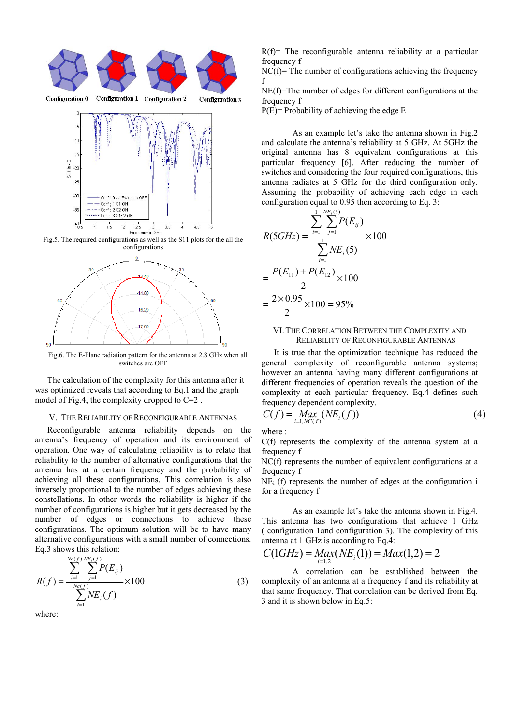

Fig.5. The required configurations as well as the S11 plots for the all the configurations



Fig.6. The E-Plane radiation pattern for the antenna at 2.8 GHz when all switches are OFF

The calculation of the complexity for this antenna after it was optimized reveals that according to Eq.1 and the graph model of Fig.4, the complexity dropped to C=2 .

#### V. THE RELIABILITY OF RECONFIGURABLE ANTENNAS

Reconfigurable antenna reliability depends on the antenna's frequency of operation and its environment of operation. One way of calculating reliability is to relate that reliability to the number of alternative configurations that the antenna has at a certain frequency and the probability of achieving all these configurations. This correlation is also inversely proportional to the number of edges achieving these constellations. In other words the reliability is higher if the number of configurations is higher but it gets decreased by the number of edges or connections to achieve these configurations. The optimum solution will be to have many alternative configurations with a small number of connections. Eq.3 shows this relation:

$$
R(f) = \frac{\sum_{i=1}^{Nc(f)} \sum_{j=1}^{NE_i(f)} P(E_{ij})}{\sum_{i=1}^{Nc(f)} NE_i(f)} \times 100
$$
 (3)

where:

 $R(f)$ = The reconfigurable antenna reliability at a particular frequency f

 $NC(f)$ = The number of configurations achieving the frequency f

NE(f)=The number of edges for different configurations at the frequency f

P(E)= Probability of achieving the edge E

As an example let's take the antenna shown in Fig.2 and calculate the antenna's reliability at 5 GHz. At 5GHz the original antenna has 8 equivalent configurations at this particular frequency [6]. After reducing the number of switches and considering the four required configurations, this antenna radiates at 5 GHz for the third configuration only. Assuming the probability of achieving each edge in each configuration equal to 0.95 then according to Eq. 3:

$$
R(5GHz) = \frac{\sum_{i=1}^{1} \sum_{j=1}^{NE_i(5)} P(E_{ij})}{\sum_{i=1}^{1} NE_i(5)} \times 100
$$

$$
= \frac{P(E_{11}) + P(E_{12})}{2} \times 100
$$

$$
= \frac{2 \times 0.95}{2} \times 100 = 95\%
$$

#### VI.THE CORRELATION BETWEEN THE COMPLEXITY AND RELIABILITY OF RECONFIGURABLE ANTENNAS

It is true that the optimization technique has reduced the general complexity of reconfigurable antenna systems; however an antenna having many different configurations at different frequencies of operation reveals the question of the complexity at each particular frequency. Eq.4 defines such frequency dependent complexity.

$$
C(f) = \max_{i=1, N\in\{f\}} (N E_i(f))
$$
\n(4)

where :

C(f) represents the complexity of the antenna system at a frequency f

NC(f) represents the number of equivalent configurations at a frequency f

 $NE<sub>i</sub>$  (f) represents the number of edges at the configuration i for a frequency f

As an example let's take the antenna shown in Fig.4. This antenna has two configurations that achieve 1 GHz ( configuration 1and configuration 3). The complexity of this antenna at 1 GHz is according to Eq.4:

$$
C(1GHz) = Max(NEi(1)) = Max(1,2) = 2
$$

A correlation can be established between the complexity of an antenna at a frequency f and its reliability at that same frequency. That correlation can be derived from Eq. 3 and it is shown below in Eq.5: